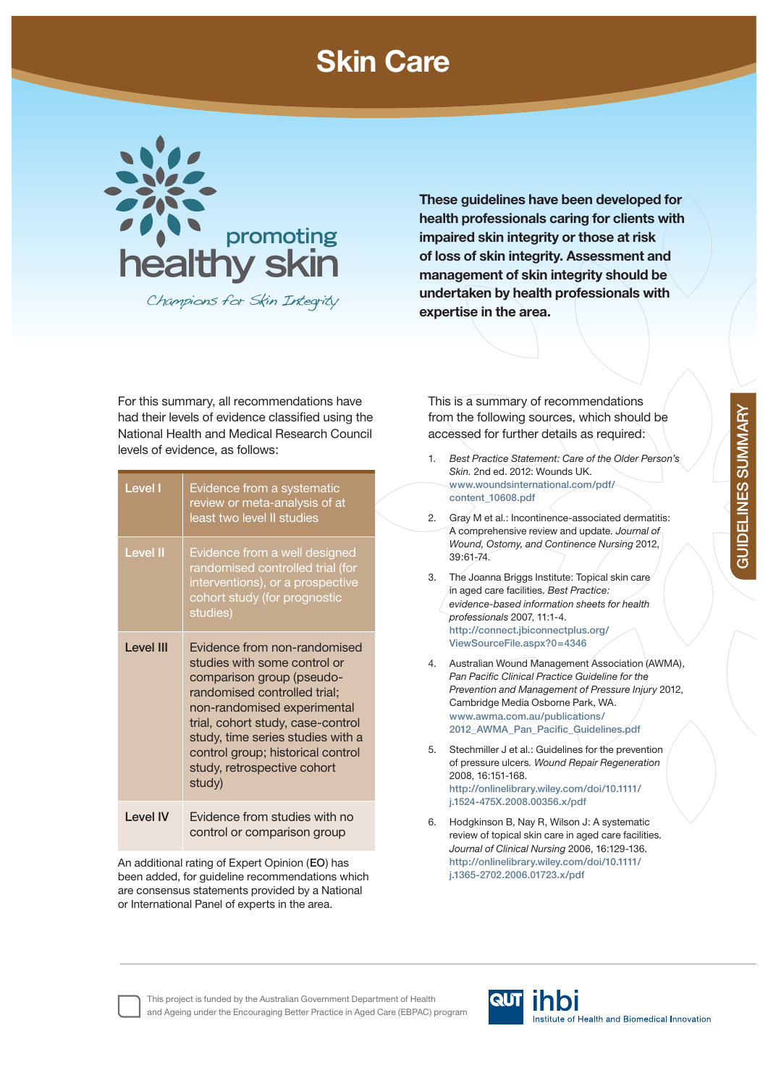## **Skin Care**



Champions for Skin Integrity

**These guidelines have been developed for health professionals caring for clients with impaired skin integrity or those at risk of loss of skin integrity. Assessment and management of skin integrity should be undertaken by health professionals with expertise in the area.**

For this summary, all recommendations have had their levels of evidence classified using the National Health and Medical Research Council levels of evidence, as follows:

| Level I          | Evidence from a systematic<br>review or meta-analysis of at<br>least two level II studies                                                                                                                                                                                                                        |
|------------------|------------------------------------------------------------------------------------------------------------------------------------------------------------------------------------------------------------------------------------------------------------------------------------------------------------------|
| <b>Level II</b>  | Evidence from a well designed<br>randomised controlled trial (for<br>interventions), or a prospective<br>cohort study (for prognostic<br>studies)                                                                                                                                                                |
| <b>Level III</b> | Evidence from non-randomised<br>studies with some control or<br>comparison group (pseudo-<br>randomised controlled trial;<br>non-randomised experimental<br>trial, cohort study, case-control<br>study, time series studies with a<br>control group; historical control<br>study, retrospective cohort<br>study) |
| I evel IV        | Evidence from studies with no<br>control or comparison group                                                                                                                                                                                                                                                     |

An additional rating of Expert Opinion (**EO**) has been added, for guideline recommendations which are consensus statements provided by a National or International Panel of experts in the area.

This is a summary of recommendations from the following sources, which should be accessed for further details as required:

- 1. *Best Practice Statement: Care of the Older Person's Skin.* 2nd ed. 2012: Wounds UK. **www.woundsinternational.com/pdf/ content\_10608.pdf** 2. Gray M et al.: Incontinence-associated dermatitis: A comprehensive review and update*. Journal of Wound, Ostomy, and Continence Nursing* 2012, 39:61-74. 3. The Joanna Briggs Institute: Topical skin care in aged care facilities*. Best Practice: evidence-based information sheets for health professionals* 2007, 11:1-4. **http://connect.jbiconnectplus.org/ ViewSourceFile.aspx?0=4346**  4. Australian Wound Management Association (AWMA), **Pan Pacific Clinical Practice Guideline for the** *Prevention and Management of Pressure Injury* 2012, Cambridge Media Osborne Park, WA. **www.awma.com.au/publications/** 2012\_AWMA\_Pan\_Pacific\_Guidelines.pdf 5. Stechmiller J et al.: Guidelines for the prevention of pressure ulcers*. Wound Repair Regeneration*  2008, 16:151-168. **http://onlinelibrary.wiley.com/doi/10.1111/ j.1524-475X.2008.00356.x/pdf**
- 6. Hodgkinson B, Nay R, Wilson J: A systematic review of topical skin care in aged care facilities*. Journal of Clinical Nursing* 2006, 16:129-136. **http://onlinelibrary.wiley.com/doi/10.1111/ j.1365-2702.2006.01723.x/pdf**

**GUIDELINES SUMMARY GUIDELINES SUMMARY**